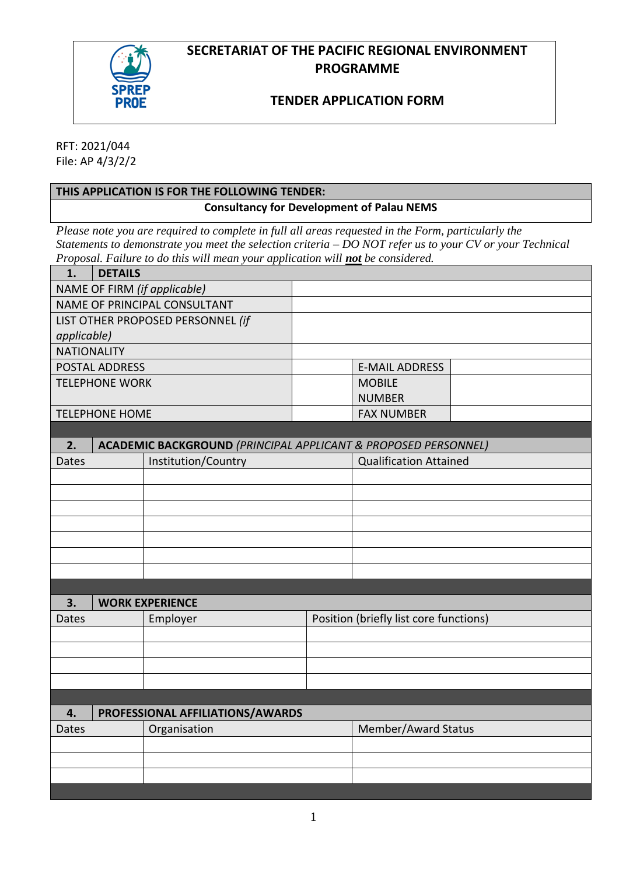



# **TENDER APPLICATION FORM**

RFT: 2021/044 File: AP 4/3/2/2

# **THIS APPLICATION IS FOR THE FOLLOWING TENDER: Consultancy for Development of Palau NEMS**

*Please note you are required to complete in full all areas requested in the Form, particularly the Statements to demonstrate you meet the selection criteria – DO NOT refer us to your CV or your Technical Proposal. Failure to do this will mean your application will not be considered.* 

| 1.                                                                              | <b>DETAILS</b> |                                  |                                        |                               |  |  |
|---------------------------------------------------------------------------------|----------------|----------------------------------|----------------------------------------|-------------------------------|--|--|
|                                                                                 |                | NAME OF FIRM (if applicable)     |                                        |                               |  |  |
| NAME OF PRINCIPAL CONSULTANT                                                    |                |                                  |                                        |                               |  |  |
| LIST OTHER PROPOSED PERSONNEL (if                                               |                |                                  |                                        |                               |  |  |
| applicable)                                                                     |                |                                  |                                        |                               |  |  |
| <b>NATIONALITY</b>                                                              |                |                                  |                                        |                               |  |  |
| POSTAL ADDRESS                                                                  |                |                                  |                                        | <b>E-MAIL ADDRESS</b>         |  |  |
| <b>TELEPHONE WORK</b>                                                           |                |                                  | <b>MOBILE</b>                          |                               |  |  |
|                                                                                 |                |                                  |                                        | <b>NUMBER</b>                 |  |  |
| <b>TELEPHONE HOME</b>                                                           |                |                                  |                                        | <b>FAX NUMBER</b>             |  |  |
|                                                                                 |                |                                  |                                        |                               |  |  |
| 2.<br><b>ACADEMIC BACKGROUND (PRINCIPAL APPLICANT &amp; PROPOSED PERSONNEL)</b> |                |                                  |                                        |                               |  |  |
| Dates                                                                           |                | Institution/Country              |                                        | <b>Qualification Attained</b> |  |  |
|                                                                                 |                |                                  |                                        |                               |  |  |
|                                                                                 |                |                                  |                                        |                               |  |  |
|                                                                                 |                |                                  |                                        |                               |  |  |
|                                                                                 |                |                                  |                                        |                               |  |  |
|                                                                                 |                |                                  |                                        |                               |  |  |
|                                                                                 |                |                                  |                                        |                               |  |  |
|                                                                                 |                |                                  |                                        |                               |  |  |
|                                                                                 |                |                                  |                                        |                               |  |  |
| 3.                                                                              |                | <b>WORK EXPERIENCE</b>           |                                        |                               |  |  |
| <b>Dates</b>                                                                    |                | Employer                         | Position (briefly list core functions) |                               |  |  |
|                                                                                 |                |                                  |                                        |                               |  |  |
|                                                                                 |                |                                  |                                        |                               |  |  |
|                                                                                 |                |                                  |                                        |                               |  |  |
|                                                                                 |                |                                  |                                        |                               |  |  |
|                                                                                 |                |                                  |                                        |                               |  |  |
| 4.                                                                              |                | PROFESSIONAL AFFILIATIONS/AWARDS |                                        |                               |  |  |
| Dates                                                                           |                | Organisation                     |                                        | Member/Award Status           |  |  |
|                                                                                 |                |                                  |                                        |                               |  |  |
|                                                                                 |                |                                  |                                        |                               |  |  |
|                                                                                 |                |                                  |                                        |                               |  |  |
|                                                                                 |                |                                  |                                        |                               |  |  |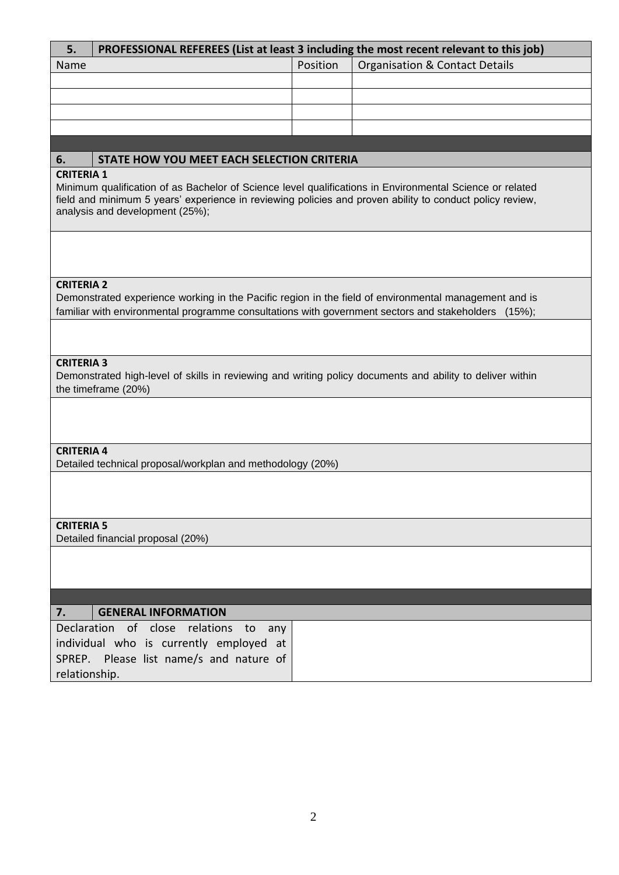| 5.                                                                                                                                                                                                                                                                           | PROFESSIONAL REFEREES (List at least 3 including the most recent relevant to this job)                                         |          |                                           |  |  |  |  |  |
|------------------------------------------------------------------------------------------------------------------------------------------------------------------------------------------------------------------------------------------------------------------------------|--------------------------------------------------------------------------------------------------------------------------------|----------|-------------------------------------------|--|--|--|--|--|
| Name                                                                                                                                                                                                                                                                         |                                                                                                                                | Position | <b>Organisation &amp; Contact Details</b> |  |  |  |  |  |
|                                                                                                                                                                                                                                                                              |                                                                                                                                |          |                                           |  |  |  |  |  |
|                                                                                                                                                                                                                                                                              |                                                                                                                                |          |                                           |  |  |  |  |  |
|                                                                                                                                                                                                                                                                              |                                                                                                                                |          |                                           |  |  |  |  |  |
|                                                                                                                                                                                                                                                                              |                                                                                                                                |          |                                           |  |  |  |  |  |
|                                                                                                                                                                                                                                                                              |                                                                                                                                |          |                                           |  |  |  |  |  |
| STATE HOW YOU MEET EACH SELECTION CRITERIA<br>6.                                                                                                                                                                                                                             |                                                                                                                                |          |                                           |  |  |  |  |  |
| <b>CRITERIA 1</b><br>Minimum qualification of as Bachelor of Science level qualifications in Environmental Science or related<br>field and minimum 5 years' experience in reviewing policies and proven ability to conduct policy review,<br>analysis and development (25%); |                                                                                                                                |          |                                           |  |  |  |  |  |
|                                                                                                                                                                                                                                                                              |                                                                                                                                |          |                                           |  |  |  |  |  |
| <b>CRITERIA 2</b>                                                                                                                                                                                                                                                            |                                                                                                                                |          |                                           |  |  |  |  |  |
|                                                                                                                                                                                                                                                                              | Demonstrated experience working in the Pacific region in the field of environmental management and is                          |          |                                           |  |  |  |  |  |
|                                                                                                                                                                                                                                                                              | familiar with environmental programme consultations with government sectors and stakeholders (15%);                            |          |                                           |  |  |  |  |  |
|                                                                                                                                                                                                                                                                              |                                                                                                                                |          |                                           |  |  |  |  |  |
| <b>CRITERIA 3</b><br>Demonstrated high-level of skills in reviewing and writing policy documents and ability to deliver within<br>the timeframe (20%)                                                                                                                        |                                                                                                                                |          |                                           |  |  |  |  |  |
|                                                                                                                                                                                                                                                                              |                                                                                                                                |          |                                           |  |  |  |  |  |
| <b>CRITERIA 4</b>                                                                                                                                                                                                                                                            |                                                                                                                                |          |                                           |  |  |  |  |  |
| Detailed technical proposal/workplan and methodology (20%)                                                                                                                                                                                                                   |                                                                                                                                |          |                                           |  |  |  |  |  |
|                                                                                                                                                                                                                                                                              |                                                                                                                                |          |                                           |  |  |  |  |  |
| <b>CRITERIA 5</b><br>Detailed financial proposal (20%)                                                                                                                                                                                                                       |                                                                                                                                |          |                                           |  |  |  |  |  |
|                                                                                                                                                                                                                                                                              |                                                                                                                                |          |                                           |  |  |  |  |  |
|                                                                                                                                                                                                                                                                              |                                                                                                                                |          |                                           |  |  |  |  |  |
| 7.<br><b>GENERAL INFORMATION</b>                                                                                                                                                                                                                                             |                                                                                                                                |          |                                           |  |  |  |  |  |
|                                                                                                                                                                                                                                                                              | Declaration of close relations to<br>any<br>individual who is currently employed at<br>SPREP. Please list name/s and nature of |          |                                           |  |  |  |  |  |
| relationship.                                                                                                                                                                                                                                                                |                                                                                                                                |          |                                           |  |  |  |  |  |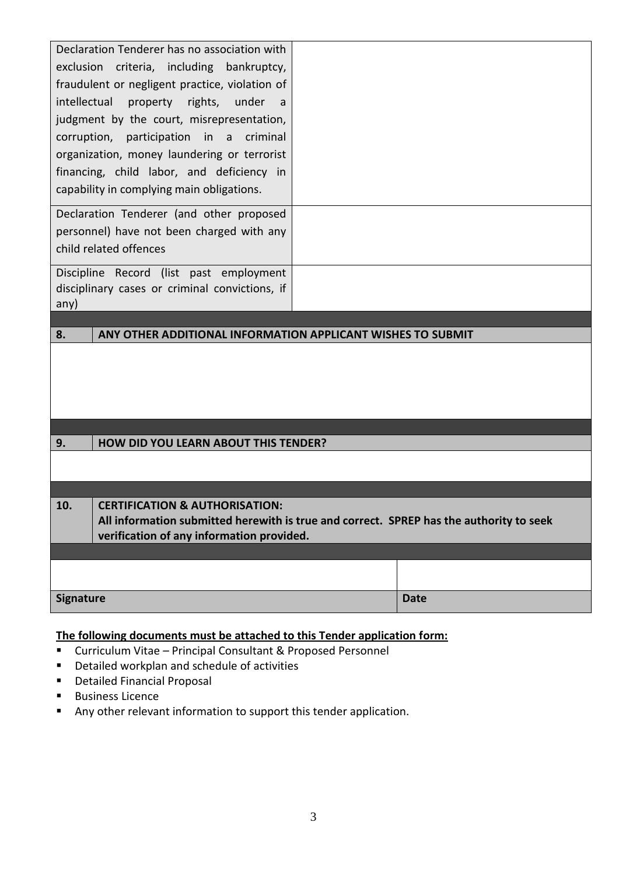| Declaration Tenderer has no association with<br>exclusion criteria, including bankruptcy,<br>fraudulent or negligent practice, violation of<br>intellectual<br>property rights,<br>under<br>a<br>judgment by the court, misrepresentation,<br>corruption, participation in a criminal<br>organization, money laundering or terrorist<br>financing, child labor, and deficiency in |                                             |             |  |  |  |  |
|-----------------------------------------------------------------------------------------------------------------------------------------------------------------------------------------------------------------------------------------------------------------------------------------------------------------------------------------------------------------------------------|---------------------------------------------|-------------|--|--|--|--|
| capability in complying main obligations.                                                                                                                                                                                                                                                                                                                                         |                                             |             |  |  |  |  |
| Declaration Tenderer (and other proposed<br>personnel) have not been charged with any<br>child related offences                                                                                                                                                                                                                                                                   |                                             |             |  |  |  |  |
| Discipline Record (list past employment<br>disciplinary cases or criminal convictions, if<br>any)                                                                                                                                                                                                                                                                                 |                                             |             |  |  |  |  |
| 8.<br>ANY OTHER ADDITIONAL INFORMATION APPLICANT WISHES TO SUBMIT                                                                                                                                                                                                                                                                                                                 |                                             |             |  |  |  |  |
|                                                                                                                                                                                                                                                                                                                                                                                   |                                             |             |  |  |  |  |
|                                                                                                                                                                                                                                                                                                                                                                                   |                                             |             |  |  |  |  |
| 9.                                                                                                                                                                                                                                                                                                                                                                                | <b>HOW DID YOU LEARN ABOUT THIS TENDER?</b> |             |  |  |  |  |
| <b>CERTIFICATION &amp; AUTHORISATION:</b><br>ΊU.<br>All information submitted herewith is true and correct. SPREP has the authority to seek<br>verification of any information provided.                                                                                                                                                                                          |                                             |             |  |  |  |  |
|                                                                                                                                                                                                                                                                                                                                                                                   |                                             |             |  |  |  |  |
| <b>Signature</b>                                                                                                                                                                                                                                                                                                                                                                  |                                             | <b>Date</b> |  |  |  |  |

# **The following documents must be attached to this Tender application form:**

- Curriculum Vitae Principal Consultant & Proposed Personnel
- Detailed workplan and schedule of activities
- Detailed Financial Proposal
- Business Licence
- Any other relevant information to support this tender application.